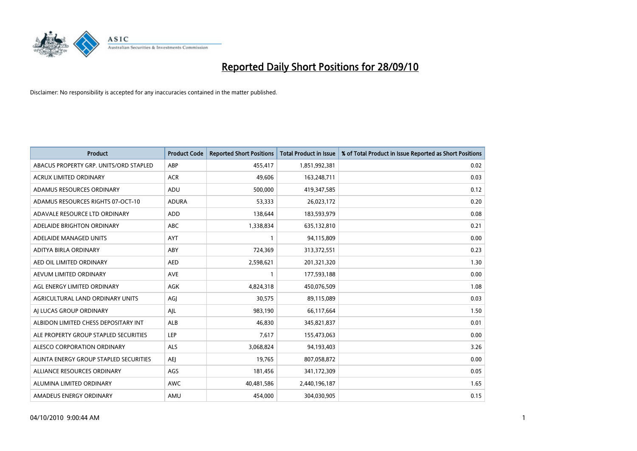

| <b>Product</b>                         | <b>Product Code</b> | <b>Reported Short Positions</b> | <b>Total Product in Issue</b> | % of Total Product in Issue Reported as Short Positions |
|----------------------------------------|---------------------|---------------------------------|-------------------------------|---------------------------------------------------------|
| ABACUS PROPERTY GRP. UNITS/ORD STAPLED | ABP                 | 455,417                         | 1,851,992,381                 | 0.02                                                    |
| ACRUX LIMITED ORDINARY                 | <b>ACR</b>          | 49,606                          | 163,248,711                   | 0.03                                                    |
| ADAMUS RESOURCES ORDINARY              | ADU                 | 500,000                         | 419,347,585                   | 0.12                                                    |
| ADAMUS RESOURCES RIGHTS 07-OCT-10      | <b>ADURA</b>        | 53,333                          | 26,023,172                    | 0.20                                                    |
| ADAVALE RESOURCE LTD ORDINARY          | <b>ADD</b>          | 138,644                         | 183,593,979                   | 0.08                                                    |
| ADELAIDE BRIGHTON ORDINARY             | <b>ABC</b>          | 1,338,834                       | 635,132,810                   | 0.21                                                    |
| ADELAIDE MANAGED UNITS                 | <b>AYT</b>          |                                 | 94,115,809                    | 0.00                                                    |
| ADITYA BIRLA ORDINARY                  | ABY                 | 724,369                         | 313,372,551                   | 0.23                                                    |
| AED OIL LIMITED ORDINARY               | <b>AED</b>          | 2,598,621                       | 201,321,320                   | 1.30                                                    |
| AEVUM LIMITED ORDINARY                 | <b>AVE</b>          |                                 | 177,593,188                   | 0.00                                                    |
| AGL ENERGY LIMITED ORDINARY            | <b>AGK</b>          | 4,824,318                       | 450,076,509                   | 1.08                                                    |
| AGRICULTURAL LAND ORDINARY UNITS       | AGI                 | 30,575                          | 89,115,089                    | 0.03                                                    |
| AI LUCAS GROUP ORDINARY                | AJL                 | 983,190                         | 66,117,664                    | 1.50                                                    |
| ALBIDON LIMITED CHESS DEPOSITARY INT   | ALB                 | 46,830                          | 345,821,837                   | 0.01                                                    |
| ALE PROPERTY GROUP STAPLED SECURITIES  | LEP                 | 7,617                           | 155,473,063                   | 0.00                                                    |
| ALESCO CORPORATION ORDINARY            | ALS                 | 3,068,824                       | 94,193,403                    | 3.26                                                    |
| ALINTA ENERGY GROUP STAPLED SECURITIES | <b>AEI</b>          | 19,765                          | 807,058,872                   | 0.00                                                    |
| ALLIANCE RESOURCES ORDINARY            | AGS                 | 181,456                         | 341,172,309                   | 0.05                                                    |
| ALUMINA LIMITED ORDINARY               | <b>AWC</b>          | 40,481,586                      | 2,440,196,187                 | 1.65                                                    |
| AMADEUS ENERGY ORDINARY                | AMU                 | 454.000                         | 304,030,905                   | 0.15                                                    |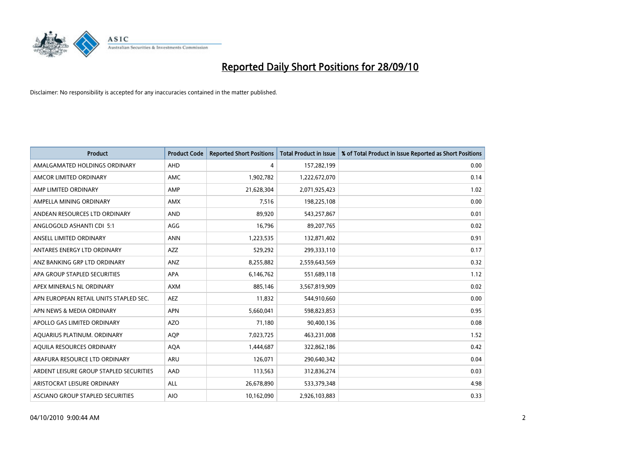

| <b>Product</b>                          | <b>Product Code</b> | <b>Reported Short Positions</b> | <b>Total Product in Issue</b> | % of Total Product in Issue Reported as Short Positions |
|-----------------------------------------|---------------------|---------------------------------|-------------------------------|---------------------------------------------------------|
| AMALGAMATED HOLDINGS ORDINARY           | AHD                 | 4                               | 157,282,199                   | 0.00                                                    |
| AMCOR LIMITED ORDINARY                  | <b>AMC</b>          | 1,902,782                       | 1,222,672,070                 | 0.14                                                    |
| AMP LIMITED ORDINARY                    | AMP                 | 21,628,304                      | 2,071,925,423                 | 1.02                                                    |
| AMPELLA MINING ORDINARY                 | <b>AMX</b>          | 7,516                           | 198,225,108                   | 0.00                                                    |
| ANDEAN RESOURCES LTD ORDINARY           | <b>AND</b>          | 89.920                          | 543,257,867                   | 0.01                                                    |
| ANGLOGOLD ASHANTI CDI 5:1               | AGG                 | 16,796                          | 89,207,765                    | 0.02                                                    |
| ANSELL LIMITED ORDINARY                 | <b>ANN</b>          | 1,223,535                       | 132,871,402                   | 0.91                                                    |
| ANTARES ENERGY LTD ORDINARY             | <b>AZZ</b>          | 529,292                         | 299,333,110                   | 0.17                                                    |
| ANZ BANKING GRP LTD ORDINARY            | <b>ANZ</b>          | 8,255,882                       | 2,559,643,569                 | 0.32                                                    |
| APA GROUP STAPLED SECURITIES            | <b>APA</b>          | 6,146,762                       | 551,689,118                   | 1.12                                                    |
| APEX MINERALS NL ORDINARY               | <b>AXM</b>          | 885,146                         | 3,567,819,909                 | 0.02                                                    |
| APN EUROPEAN RETAIL UNITS STAPLED SEC.  | <b>AEZ</b>          | 11,832                          | 544,910,660                   | 0.00                                                    |
| APN NEWS & MEDIA ORDINARY               | <b>APN</b>          | 5.660.041                       | 598,823,853                   | 0.95                                                    |
| APOLLO GAS LIMITED ORDINARY             | <b>AZO</b>          | 71,180                          | 90,400,136                    | 0.08                                                    |
| AQUARIUS PLATINUM. ORDINARY             | <b>AOP</b>          | 7,023,725                       | 463,231,008                   | 1.52                                                    |
| AQUILA RESOURCES ORDINARY               | <b>AQA</b>          | 1,444,687                       | 322,862,186                   | 0.42                                                    |
| ARAFURA RESOURCE LTD ORDINARY           | <b>ARU</b>          | 126,071                         | 290,640,342                   | 0.04                                                    |
| ARDENT LEISURE GROUP STAPLED SECURITIES | AAD                 | 113,563                         | 312,836,274                   | 0.03                                                    |
| ARISTOCRAT LEISURE ORDINARY             | <b>ALL</b>          | 26,678,890                      | 533,379,348                   | 4.98                                                    |
| ASCIANO GROUP STAPLED SECURITIES        | <b>AIO</b>          | 10,162,090                      | 2,926,103,883                 | 0.33                                                    |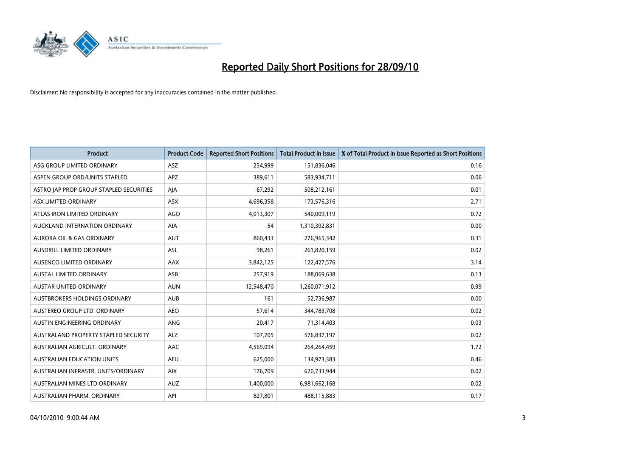

| <b>Product</b>                          | <b>Product Code</b> | <b>Reported Short Positions</b> | <b>Total Product in Issue</b> | % of Total Product in Issue Reported as Short Positions |
|-----------------------------------------|---------------------|---------------------------------|-------------------------------|---------------------------------------------------------|
| ASG GROUP LIMITED ORDINARY              | <b>ASZ</b>          | 254,999                         | 151,836,046                   | 0.16                                                    |
| ASPEN GROUP ORD/UNITS STAPLED           | <b>APZ</b>          | 389,611                         | 583,934,711                   | 0.06                                                    |
| ASTRO JAP PROP GROUP STAPLED SECURITIES | AJA                 | 67,292                          | 508,212,161                   | 0.01                                                    |
| ASX LIMITED ORDINARY                    | ASX                 | 4,696,358                       | 173,576,316                   | 2.71                                                    |
| ATLAS IRON LIMITED ORDINARY             | <b>AGO</b>          | 4,013,307                       | 540,009,119                   | 0.72                                                    |
| AUCKLAND INTERNATION ORDINARY           | <b>AIA</b>          | 54                              | 1,310,392,831                 | 0.00                                                    |
| AURORA OIL & GAS ORDINARY               | <b>AUT</b>          | 860,433                         | 276,965,342                   | 0.31                                                    |
| AUSDRILL LIMITED ORDINARY               | <b>ASL</b>          | 98,261                          | 261,820,159                   | 0.02                                                    |
| AUSENCO LIMITED ORDINARY                | <b>AAX</b>          | 3,842,125                       | 122,427,576                   | 3.14                                                    |
| <b>AUSTAL LIMITED ORDINARY</b>          | ASB                 | 257,919                         | 188,069,638                   | 0.13                                                    |
| AUSTAR UNITED ORDINARY                  | <b>AUN</b>          | 12,548,470                      | 1,260,071,912                 | 0.99                                                    |
| AUSTBROKERS HOLDINGS ORDINARY           | <b>AUB</b>          | 161                             | 52,736,987                    | 0.00                                                    |
| AUSTEREO GROUP LTD. ORDINARY            | AEO                 | 57,614                          | 344,783,708                   | 0.02                                                    |
| AUSTIN ENGINEERING ORDINARY             | ANG                 | 20,417                          | 71,314,403                    | 0.03                                                    |
| AUSTRALAND PROPERTY STAPLED SECURITY    | <b>ALZ</b>          | 107,705                         | 576,837,197                   | 0.02                                                    |
| AUSTRALIAN AGRICULT. ORDINARY           | AAC                 | 4,569,094                       | 264,264,459                   | 1.72                                                    |
| AUSTRALIAN EDUCATION UNITS              | <b>AEU</b>          | 625,000                         | 134,973,383                   | 0.46                                                    |
| AUSTRALIAN INFRASTR. UNITS/ORDINARY     | <b>AIX</b>          | 176,709                         | 620,733,944                   | 0.02                                                    |
| AUSTRALIAN MINES LTD ORDINARY           | <b>AUZ</b>          | 1,400,000                       | 6,981,662,168                 | 0.02                                                    |
| AUSTRALIAN PHARM. ORDINARY              | API                 | 827,801                         | 488,115,883                   | 0.17                                                    |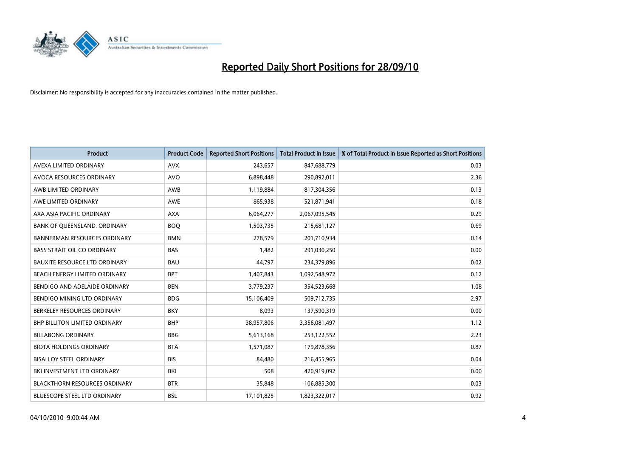

| <b>Product</b>                       | <b>Product Code</b> | <b>Reported Short Positions</b> | <b>Total Product in Issue</b> | % of Total Product in Issue Reported as Short Positions |
|--------------------------------------|---------------------|---------------------------------|-------------------------------|---------------------------------------------------------|
| AVEXA LIMITED ORDINARY               | <b>AVX</b>          | 243,657                         | 847,688,779                   | 0.03                                                    |
| AVOCA RESOURCES ORDINARY             | <b>AVO</b>          | 6,898,448                       | 290,892,011                   | 2.36                                                    |
| AWB LIMITED ORDINARY                 | AWB                 | 1,119,884                       | 817,304,356                   | 0.13                                                    |
| AWE LIMITED ORDINARY                 | <b>AWE</b>          | 865,938                         | 521,871,941                   | 0.18                                                    |
| AXA ASIA PACIFIC ORDINARY            | <b>AXA</b>          | 6,064,277                       | 2,067,095,545                 | 0.29                                                    |
| BANK OF QUEENSLAND. ORDINARY         | <b>BOQ</b>          | 1,503,735                       | 215,681,127                   | 0.69                                                    |
| <b>BANNERMAN RESOURCES ORDINARY</b>  | <b>BMN</b>          | 278,579                         | 201,710,934                   | 0.14                                                    |
| <b>BASS STRAIT OIL CO ORDINARY</b>   | <b>BAS</b>          | 1,482                           | 291,030,250                   | 0.00                                                    |
| <b>BAUXITE RESOURCE LTD ORDINARY</b> | <b>BAU</b>          | 44,797                          | 234,379,896                   | 0.02                                                    |
| BEACH ENERGY LIMITED ORDINARY        | <b>BPT</b>          | 1,407,843                       | 1,092,548,972                 | 0.12                                                    |
| BENDIGO AND ADELAIDE ORDINARY        | <b>BEN</b>          | 3,779,237                       | 354,523,668                   | 1.08                                                    |
| <b>BENDIGO MINING LTD ORDINARY</b>   | <b>BDG</b>          | 15,106,409                      | 509,712,735                   | 2.97                                                    |
| BERKELEY RESOURCES ORDINARY          | <b>BKY</b>          | 8,093                           | 137,590,319                   | 0.00                                                    |
| <b>BHP BILLITON LIMITED ORDINARY</b> | <b>BHP</b>          | 38,957,806                      | 3,356,081,497                 | 1.12                                                    |
| <b>BILLABONG ORDINARY</b>            | <b>BBG</b>          | 5,613,168                       | 253,122,552                   | 2.23                                                    |
| <b>BIOTA HOLDINGS ORDINARY</b>       | <b>BTA</b>          | 1,571,087                       | 179,878,356                   | 0.87                                                    |
| <b>BISALLOY STEEL ORDINARY</b>       | <b>BIS</b>          | 84,480                          | 216,455,965                   | 0.04                                                    |
| BKI INVESTMENT LTD ORDINARY          | <b>BKI</b>          | 508                             | 420,919,092                   | 0.00                                                    |
| <b>BLACKTHORN RESOURCES ORDINARY</b> | <b>BTR</b>          | 35,848                          | 106,885,300                   | 0.03                                                    |
| BLUESCOPE STEEL LTD ORDINARY         | <b>BSL</b>          | 17,101,825                      | 1,823,322,017                 | 0.92                                                    |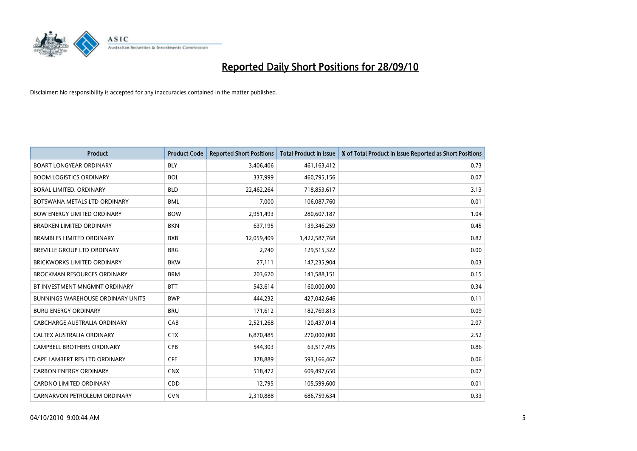

| <b>Product</b>                           | <b>Product Code</b> | <b>Reported Short Positions</b> | Total Product in Issue | % of Total Product in Issue Reported as Short Positions |
|------------------------------------------|---------------------|---------------------------------|------------------------|---------------------------------------------------------|
| <b>BOART LONGYEAR ORDINARY</b>           | <b>BLY</b>          | 3,406,406                       | 461,163,412            | 0.73                                                    |
| <b>BOOM LOGISTICS ORDINARY</b>           | <b>BOL</b>          | 337,999                         | 460,795,156            | 0.07                                                    |
| <b>BORAL LIMITED, ORDINARY</b>           | <b>BLD</b>          | 22,462,264                      | 718,853,617            | 3.13                                                    |
| BOTSWANA METALS LTD ORDINARY             | <b>BML</b>          | 7,000                           | 106,087,760            | 0.01                                                    |
| <b>BOW ENERGY LIMITED ORDINARY</b>       | <b>BOW</b>          | 2,951,493                       | 280,607,187            | 1.04                                                    |
| <b>BRADKEN LIMITED ORDINARY</b>          | <b>BKN</b>          | 637,195                         | 139,346,259            | 0.45                                                    |
| <b>BRAMBLES LIMITED ORDINARY</b>         | <b>BXB</b>          | 12,059,409                      | 1,422,587,768          | 0.82                                                    |
| <b>BREVILLE GROUP LTD ORDINARY</b>       | <b>BRG</b>          | 2,740                           | 129,515,322            | 0.00                                                    |
| BRICKWORKS LIMITED ORDINARY              | <b>BKW</b>          | 27,111                          | 147,235,904            | 0.03                                                    |
| <b>BROCKMAN RESOURCES ORDINARY</b>       | <b>BRM</b>          | 203,620                         | 141,588,151            | 0.15                                                    |
| BT INVESTMENT MNGMNT ORDINARY            | <b>BTT</b>          | 543,614                         | 160,000,000            | 0.34                                                    |
| <b>BUNNINGS WAREHOUSE ORDINARY UNITS</b> | <b>BWP</b>          | 444,232                         | 427,042,646            | 0.11                                                    |
| <b>BURU ENERGY ORDINARY</b>              | <b>BRU</b>          | 171,612                         | 182,769,813            | 0.09                                                    |
| <b>CABCHARGE AUSTRALIA ORDINARY</b>      | CAB                 | 2,521,268                       | 120,437,014            | 2.07                                                    |
| CALTEX AUSTRALIA ORDINARY                | <b>CTX</b>          | 6,870,485                       | 270,000,000            | 2.52                                                    |
| CAMPBELL BROTHERS ORDINARY               | <b>CPB</b>          | 544,303                         | 63,517,495             | 0.86                                                    |
| CAPE LAMBERT RES LTD ORDINARY            | <b>CFE</b>          | 378,889                         | 593,166,467            | 0.06                                                    |
| <b>CARBON ENERGY ORDINARY</b>            | <b>CNX</b>          | 518,472                         | 609,497,650            | 0.07                                                    |
| <b>CARDNO LIMITED ORDINARY</b>           | CDD                 | 12,795                          | 105,599,600            | 0.01                                                    |
| CARNARVON PETROLEUM ORDINARY             | <b>CVN</b>          | 2,310,888                       | 686,759,634            | 0.33                                                    |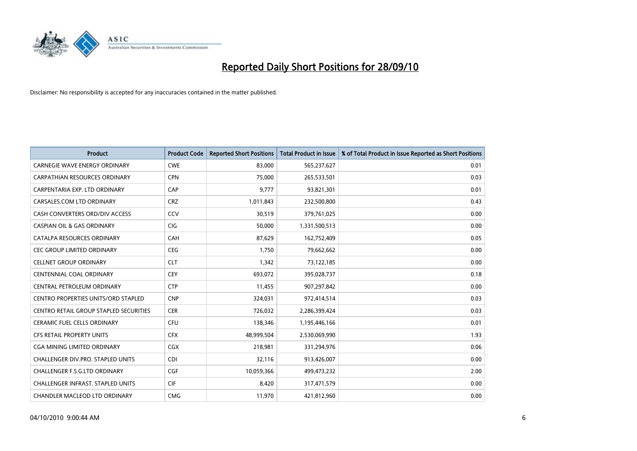

| <b>Product</b>                                | <b>Product Code</b> | <b>Reported Short Positions</b> | <b>Total Product in Issue</b> | % of Total Product in Issue Reported as Short Positions |
|-----------------------------------------------|---------------------|---------------------------------|-------------------------------|---------------------------------------------------------|
| <b>CARNEGIE WAVE ENERGY ORDINARY</b>          | <b>CWE</b>          | 83,000                          | 565,237,627                   | 0.01                                                    |
| CARPATHIAN RESOURCES ORDINARY                 | <b>CPN</b>          | 75,000                          | 265,533,501                   | 0.03                                                    |
| CARPENTARIA EXP. LTD ORDINARY                 | CAP                 | 9,777                           | 93,821,301                    | 0.01                                                    |
| CARSALES.COM LTD ORDINARY                     | <b>CRZ</b>          | 1,011,843                       | 232,500,800                   | 0.43                                                    |
| CASH CONVERTERS ORD/DIV ACCESS                | CCV                 | 30,519                          | 379,761,025                   | 0.00                                                    |
| <b>CASPIAN OIL &amp; GAS ORDINARY</b>         | <b>CIG</b>          | 50.000                          | 1,331,500,513                 | 0.00                                                    |
| CATALPA RESOURCES ORDINARY                    | CAH                 | 87,629                          | 162,752,409                   | 0.05                                                    |
| <b>CEC GROUP LIMITED ORDINARY</b>             | <b>CEG</b>          | 1,750                           | 79,662,662                    | 0.00                                                    |
| <b>CELLNET GROUP ORDINARY</b>                 | <b>CLT</b>          | 1,342                           | 73,122,185                    | 0.00                                                    |
| CENTENNIAL COAL ORDINARY                      | <b>CEY</b>          | 693,072                         | 395,028,737                   | 0.18                                                    |
| CENTRAL PETROLEUM ORDINARY                    | <b>CTP</b>          | 11,455                          | 907,297,842                   | 0.00                                                    |
| CENTRO PROPERTIES UNITS/ORD STAPLED           | <b>CNP</b>          | 324,031                         | 972,414,514                   | 0.03                                                    |
| <b>CENTRO RETAIL GROUP STAPLED SECURITIES</b> | <b>CER</b>          | 726,032                         | 2,286,399,424                 | 0.03                                                    |
| <b>CERAMIC FUEL CELLS ORDINARY</b>            | CFU                 | 138,346                         | 1,195,446,166                 | 0.01                                                    |
| <b>CFS RETAIL PROPERTY UNITS</b>              | <b>CFX</b>          | 48,999,504                      | 2,530,069,990                 | 1.93                                                    |
| <b>CGA MINING LIMITED ORDINARY</b>            | <b>CGX</b>          | 218.981                         | 331,294,976                   | 0.06                                                    |
| <b>CHALLENGER DIV.PRO. STAPLED UNITS</b>      | <b>CDI</b>          | 32,116                          | 913,426,007                   | 0.00                                                    |
| CHALLENGER F.S.G.LTD ORDINARY                 | CGF                 | 10,059,366                      | 499,473,232                   | 2.00                                                    |
| <b>CHALLENGER INFRAST, STAPLED UNITS</b>      | <b>CIF</b>          | 8,420                           | 317,471,579                   | 0.00                                                    |
| CHANDLER MACLEOD LTD ORDINARY                 | <b>CMG</b>          | 11,970                          | 421,812,960                   | 0.00                                                    |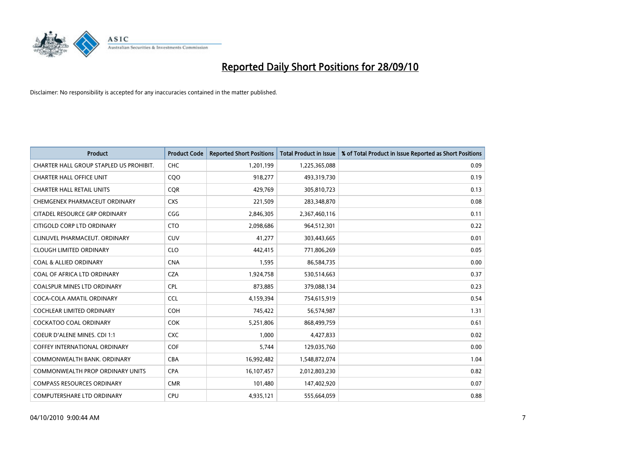

| <b>Product</b>                          | <b>Product Code</b> | <b>Reported Short Positions</b> | <b>Total Product in Issue</b> | % of Total Product in Issue Reported as Short Positions |
|-----------------------------------------|---------------------|---------------------------------|-------------------------------|---------------------------------------------------------|
| CHARTER HALL GROUP STAPLED US PROHIBIT. | <b>CHC</b>          | 1,201,199                       | 1,225,365,088                 | 0.09                                                    |
| <b>CHARTER HALL OFFICE UNIT</b>         | COO                 | 918,277                         | 493,319,730                   | 0.19                                                    |
| <b>CHARTER HALL RETAIL UNITS</b>        | <b>CQR</b>          | 429,769                         | 305,810,723                   | 0.13                                                    |
| CHEMGENEX PHARMACEUT ORDINARY           | <b>CXS</b>          | 221,509                         | 283,348,870                   | 0.08                                                    |
| CITADEL RESOURCE GRP ORDINARY           | CGG                 | 2,846,305                       | 2,367,460,116                 | 0.11                                                    |
| CITIGOLD CORP LTD ORDINARY              | <b>CTO</b>          | 2,098,686                       | 964,512,301                   | 0.22                                                    |
| CLINUVEL PHARMACEUT, ORDINARY           | <b>CUV</b>          | 41.277                          | 303,443,665                   | 0.01                                                    |
| <b>CLOUGH LIMITED ORDINARY</b>          | <b>CLO</b>          | 442,415                         | 771,806,269                   | 0.05                                                    |
| <b>COAL &amp; ALLIED ORDINARY</b>       | <b>CNA</b>          | 1,595                           | 86,584,735                    | 0.00                                                    |
| COAL OF AFRICA LTD ORDINARY             | <b>CZA</b>          | 1,924,758                       | 530,514,663                   | 0.37                                                    |
| <b>COALSPUR MINES LTD ORDINARY</b>      | CPL                 | 873,885                         | 379,088,134                   | 0.23                                                    |
| COCA-COLA AMATIL ORDINARY               | <b>CCL</b>          | 4,159,394                       | 754,615,919                   | 0.54                                                    |
| <b>COCHLEAR LIMITED ORDINARY</b>        | COH                 | 745,422                         | 56,574,987                    | 1.31                                                    |
| <b>COCKATOO COAL ORDINARY</b>           | <b>COK</b>          | 5,251,806                       | 868,499,759                   | 0.61                                                    |
| COEUR D'ALENE MINES. CDI 1:1            | <b>CXC</b>          | 1,000                           | 4,427,833                     | 0.02                                                    |
| <b>COFFEY INTERNATIONAL ORDINARY</b>    | COF                 | 5.744                           | 129,035,760                   | 0.00                                                    |
| COMMONWEALTH BANK, ORDINARY             | <b>CBA</b>          | 16,992,482                      | 1,548,872,074                 | 1.04                                                    |
| COMMONWEALTH PROP ORDINARY UNITS        | <b>CPA</b>          | 16,107,457                      | 2,012,803,230                 | 0.82                                                    |
| <b>COMPASS RESOURCES ORDINARY</b>       | <b>CMR</b>          | 101,480                         | 147,402,920                   | 0.07                                                    |
| <b>COMPUTERSHARE LTD ORDINARY</b>       | <b>CPU</b>          | 4,935,121                       | 555,664,059                   | 0.88                                                    |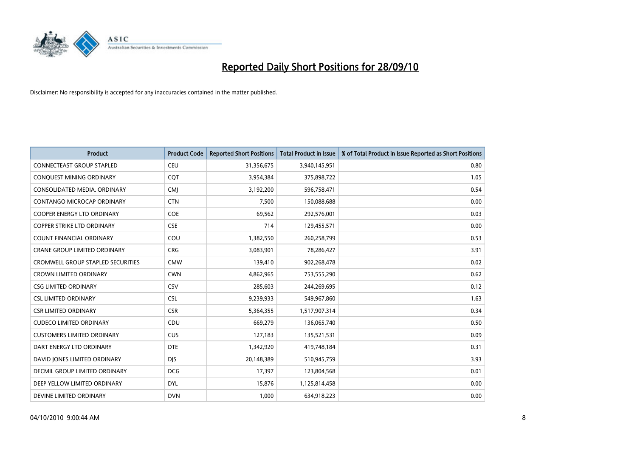

| <b>Product</b>                      | <b>Product Code</b> | <b>Reported Short Positions</b> | <b>Total Product in Issue</b> | % of Total Product in Issue Reported as Short Positions |
|-------------------------------------|---------------------|---------------------------------|-------------------------------|---------------------------------------------------------|
| <b>CONNECTEAST GROUP STAPLED</b>    | <b>CEU</b>          | 31,356,675                      | 3,940,145,951                 | 0.80                                                    |
| CONQUEST MINING ORDINARY            | <b>COT</b>          | 3,954,384                       | 375,898,722                   | 1.05                                                    |
| CONSOLIDATED MEDIA, ORDINARY        | <b>CMI</b>          | 3,192,200                       | 596,758,471                   | 0.54                                                    |
| CONTANGO MICROCAP ORDINARY          | <b>CTN</b>          | 7,500                           | 150,088,688                   | 0.00                                                    |
| <b>COOPER ENERGY LTD ORDINARY</b>   | <b>COE</b>          | 69,562                          | 292,576,001                   | 0.03                                                    |
| COPPER STRIKE LTD ORDINARY          | <b>CSE</b>          | 714                             | 129,455,571                   | 0.00                                                    |
| <b>COUNT FINANCIAL ORDINARY</b>     | COU                 | 1,382,550                       | 260,258,799                   | 0.53                                                    |
| <b>CRANE GROUP LIMITED ORDINARY</b> | <b>CRG</b>          | 3,083,901                       | 78,286,427                    | 3.91                                                    |
| CROMWELL GROUP STAPLED SECURITIES   | <b>CMW</b>          | 139,410                         | 902,268,478                   | 0.02                                                    |
| <b>CROWN LIMITED ORDINARY</b>       | <b>CWN</b>          | 4,862,965                       | 753,555,290                   | 0.62                                                    |
| <b>CSG LIMITED ORDINARY</b>         | CSV                 | 285,603                         | 244,269,695                   | 0.12                                                    |
| <b>CSL LIMITED ORDINARY</b>         | <b>CSL</b>          | 9,239,933                       | 549,967,860                   | 1.63                                                    |
| <b>CSR LIMITED ORDINARY</b>         | <b>CSR</b>          | 5,364,355                       | 1,517,907,314                 | 0.34                                                    |
| <b>CUDECO LIMITED ORDINARY</b>      | CDU                 | 669,279                         | 136,065,740                   | 0.50                                                    |
| <b>CUSTOMERS LIMITED ORDINARY</b>   | <b>CUS</b>          | 127,183                         | 135,521,531                   | 0.09                                                    |
| DART ENERGY LTD ORDINARY            | <b>DTE</b>          | 1,342,920                       | 419,748,184                   | 0.31                                                    |
| DAVID JONES LIMITED ORDINARY        | <b>DJS</b>          | 20,148,389                      | 510,945,759                   | 3.93                                                    |
| DECMIL GROUP LIMITED ORDINARY       | <b>DCG</b>          | 17,397                          | 123,804,568                   | 0.01                                                    |
| DEEP YELLOW LIMITED ORDINARY        | <b>DYL</b>          | 15,876                          | 1,125,814,458                 | 0.00                                                    |
| DEVINE LIMITED ORDINARY             | <b>DVN</b>          | 1.000                           | 634,918,223                   | 0.00                                                    |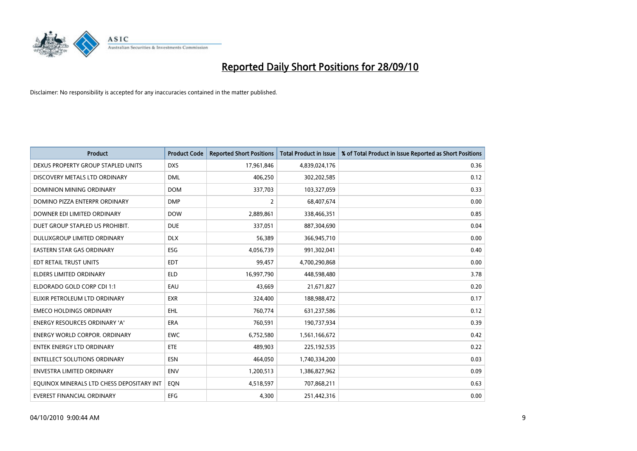

| <b>Product</b>                            | <b>Product Code</b> | <b>Reported Short Positions</b> | <b>Total Product in Issue</b> | % of Total Product in Issue Reported as Short Positions |
|-------------------------------------------|---------------------|---------------------------------|-------------------------------|---------------------------------------------------------|
| DEXUS PROPERTY GROUP STAPLED UNITS        | <b>DXS</b>          | 17,961,846                      | 4,839,024,176                 | 0.36                                                    |
| DISCOVERY METALS LTD ORDINARY             | <b>DML</b>          | 406,250                         | 302,202,585                   | 0.12                                                    |
| <b>DOMINION MINING ORDINARY</b>           | <b>DOM</b>          | 337,703                         | 103,327,059                   | 0.33                                                    |
| DOMINO PIZZA ENTERPR ORDINARY             | <b>DMP</b>          | 2                               | 68,407,674                    | 0.00                                                    |
| DOWNER EDI LIMITED ORDINARY               | <b>DOW</b>          | 2,889,861                       | 338,466,351                   | 0.85                                                    |
| DUET GROUP STAPLED US PROHIBIT.           | <b>DUE</b>          | 337,051                         | 887,304,690                   | 0.04                                                    |
| DULUXGROUP LIMITED ORDINARY               | <b>DLX</b>          | 56,389                          | 366,945,710                   | 0.00                                                    |
| <b>EASTERN STAR GAS ORDINARY</b>          | ESG                 | 4,056,739                       | 991,302,041                   | 0.40                                                    |
| EDT RETAIL TRUST UNITS                    | <b>EDT</b>          | 99,457                          | 4,700,290,868                 | 0.00                                                    |
| <b>ELDERS LIMITED ORDINARY</b>            | <b>ELD</b>          | 16,997,790                      | 448,598,480                   | 3.78                                                    |
| ELDORADO GOLD CORP CDI 1:1                | EAU                 | 43,669                          | 21,671,827                    | 0.20                                                    |
| ELIXIR PETROLEUM LTD ORDINARY             | <b>EXR</b>          | 324,400                         | 188,988,472                   | 0.17                                                    |
| <b>EMECO HOLDINGS ORDINARY</b>            | <b>EHL</b>          | 760,774                         | 631,237,586                   | 0.12                                                    |
| <b>ENERGY RESOURCES ORDINARY 'A'</b>      | <b>ERA</b>          | 760,591                         | 190,737,934                   | 0.39                                                    |
| <b>ENERGY WORLD CORPOR, ORDINARY</b>      | <b>EWC</b>          | 6,752,580                       | 1,561,166,672                 | 0.42                                                    |
| ENTEK ENERGY LTD ORDINARY                 | <b>ETE</b>          | 489,903                         | 225,192,535                   | 0.22                                                    |
| <b>ENTELLECT SOLUTIONS ORDINARY</b>       | <b>ESN</b>          | 464,050                         | 1,740,334,200                 | 0.03                                                    |
| <b>ENVESTRA LIMITED ORDINARY</b>          | <b>ENV</b>          | 1,200,513                       | 1,386,827,962                 | 0.09                                                    |
| EQUINOX MINERALS LTD CHESS DEPOSITARY INT | EON                 | 4,518,597                       | 707,868,211                   | 0.63                                                    |
| EVEREST FINANCIAL ORDINARY                | <b>EFG</b>          | 4.300                           | 251,442,316                   | 0.00                                                    |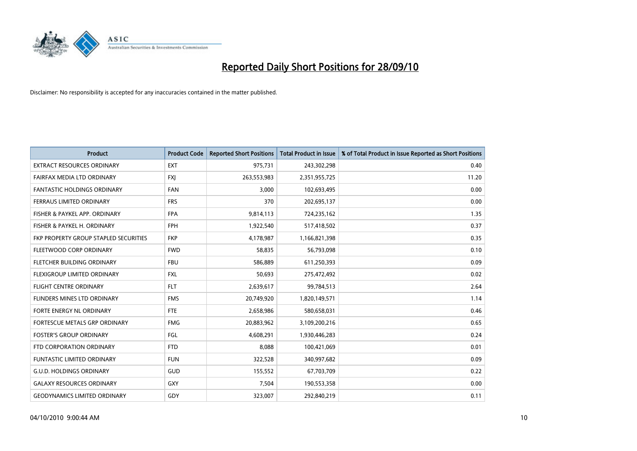

| <b>Product</b>                        | <b>Product Code</b> | <b>Reported Short Positions</b> | <b>Total Product in Issue</b> | % of Total Product in Issue Reported as Short Positions |
|---------------------------------------|---------------------|---------------------------------|-------------------------------|---------------------------------------------------------|
| <b>EXTRACT RESOURCES ORDINARY</b>     | <b>EXT</b>          | 975,731                         | 243,302,298                   | 0.40                                                    |
| FAIRFAX MEDIA LTD ORDINARY            | <b>FXI</b>          | 263,553,983                     | 2,351,955,725                 | 11.20                                                   |
| <b>FANTASTIC HOLDINGS ORDINARY</b>    | <b>FAN</b>          | 3,000                           | 102,693,495                   | 0.00                                                    |
| FERRAUS LIMITED ORDINARY              | <b>FRS</b>          | 370                             | 202,695,137                   | 0.00                                                    |
| FISHER & PAYKEL APP. ORDINARY         | <b>FPA</b>          | 9,814,113                       | 724,235,162                   | 1.35                                                    |
| FISHER & PAYKEL H. ORDINARY           | <b>FPH</b>          | 1,922,540                       | 517,418,502                   | 0.37                                                    |
| FKP PROPERTY GROUP STAPLED SECURITIES | <b>FKP</b>          | 4,178,987                       | 1,166,821,398                 | 0.35                                                    |
| FLEETWOOD CORP ORDINARY               | <b>FWD</b>          | 58,835                          | 56,793,098                    | 0.10                                                    |
| FLETCHER BUILDING ORDINARY            | <b>FBU</b>          | 586,889                         | 611,250,393                   | 0.09                                                    |
| FLEXIGROUP LIMITED ORDINARY           | <b>FXL</b>          | 50,693                          | 275,472,492                   | 0.02                                                    |
| FLIGHT CENTRE ORDINARY                | <b>FLT</b>          | 2,639,617                       | 99,784,513                    | 2.64                                                    |
| <b>FLINDERS MINES LTD ORDINARY</b>    | <b>FMS</b>          | 20,749,920                      | 1,820,149,571                 | 1.14                                                    |
| FORTE ENERGY NL ORDINARY              | <b>FTE</b>          | 2,658,986                       | 580,658,031                   | 0.46                                                    |
| <b>FORTESCUE METALS GRP ORDINARY</b>  | <b>FMG</b>          | 20,883,962                      | 3,109,200,216                 | 0.65                                                    |
| <b>FOSTER'S GROUP ORDINARY</b>        | <b>FGL</b>          | 4,608,291                       | 1,930,446,283                 | 0.24                                                    |
| FTD CORPORATION ORDINARY              | <b>FTD</b>          | 8.088                           | 100,421,069                   | 0.01                                                    |
| <b>FUNTASTIC LIMITED ORDINARY</b>     | <b>FUN</b>          | 322,528                         | 340,997,682                   | 0.09                                                    |
| <b>G.U.D. HOLDINGS ORDINARY</b>       | GUD                 | 155,552                         | 67,703,709                    | 0.22                                                    |
| <b>GALAXY RESOURCES ORDINARY</b>      | <b>GXY</b>          | 7,504                           | 190,553,358                   | 0.00                                                    |
| <b>GEODYNAMICS LIMITED ORDINARY</b>   | GDY                 | 323,007                         | 292,840,219                   | 0.11                                                    |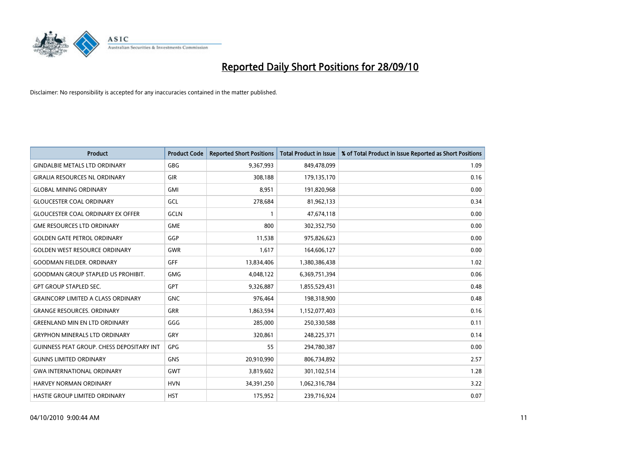

| <b>Product</b>                                   | <b>Product Code</b> | <b>Reported Short Positions</b> | <b>Total Product in Issue</b> | % of Total Product in Issue Reported as Short Positions |
|--------------------------------------------------|---------------------|---------------------------------|-------------------------------|---------------------------------------------------------|
| <b>GINDALBIE METALS LTD ORDINARY</b>             | <b>GBG</b>          | 9,367,993                       | 849,478,099                   | 1.09                                                    |
| <b>GIRALIA RESOURCES NL ORDINARY</b>             | <b>GIR</b>          | 308,188                         | 179,135,170                   | 0.16                                                    |
| <b>GLOBAL MINING ORDINARY</b>                    | <b>GMI</b>          | 8,951                           | 191,820,968                   | 0.00                                                    |
| <b>GLOUCESTER COAL ORDINARY</b>                  | GCL                 | 278,684                         | 81,962,133                    | 0.34                                                    |
| <b>GLOUCESTER COAL ORDINARY EX OFFER</b>         | <b>GCLN</b>         |                                 | 47,674,118                    | 0.00                                                    |
| <b>GME RESOURCES LTD ORDINARY</b>                | <b>GME</b>          | 800                             | 302,352,750                   | 0.00                                                    |
| <b>GOLDEN GATE PETROL ORDINARY</b>               | GGP                 | 11,538                          | 975,826,623                   | 0.00                                                    |
| <b>GOLDEN WEST RESOURCE ORDINARY</b>             | GWR                 | 1,617                           | 164,606,127                   | 0.00                                                    |
| <b>GOODMAN FIELDER, ORDINARY</b>                 | <b>GFF</b>          | 13,834,406                      | 1,380,386,438                 | 1.02                                                    |
| <b>GOODMAN GROUP STAPLED US PROHIBIT.</b>        | <b>GMG</b>          | 4,048,122                       | 6,369,751,394                 | 0.06                                                    |
| <b>GPT GROUP STAPLED SEC.</b>                    | <b>GPT</b>          | 9,326,887                       | 1,855,529,431                 | 0.48                                                    |
| <b>GRAINCORP LIMITED A CLASS ORDINARY</b>        | <b>GNC</b>          | 976,464                         | 198,318,900                   | 0.48                                                    |
| <b>GRANGE RESOURCES, ORDINARY</b>                | <b>GRR</b>          | 1,863,594                       | 1,152,077,403                 | 0.16                                                    |
| <b>GREENLAND MIN EN LTD ORDINARY</b>             | GGG                 | 285,000                         | 250,330,588                   | 0.11                                                    |
| <b>GRYPHON MINERALS LTD ORDINARY</b>             | GRY                 | 320,861                         | 248,225,371                   | 0.14                                                    |
| <b>GUINNESS PEAT GROUP. CHESS DEPOSITARY INT</b> | GPG                 | 55                              | 294,780,387                   | 0.00                                                    |
| <b>GUNNS LIMITED ORDINARY</b>                    | <b>GNS</b>          | 20,910,990                      | 806,734,892                   | 2.57                                                    |
| <b>GWA INTERNATIONAL ORDINARY</b>                | GWT                 | 3,819,602                       | 301,102,514                   | 1.28                                                    |
| HARVEY NORMAN ORDINARY                           | <b>HVN</b>          | 34,391,250                      | 1,062,316,784                 | 3.22                                                    |
| <b>HASTIE GROUP LIMITED ORDINARY</b>             | <b>HST</b>          | 175,952                         | 239,716,924                   | 0.07                                                    |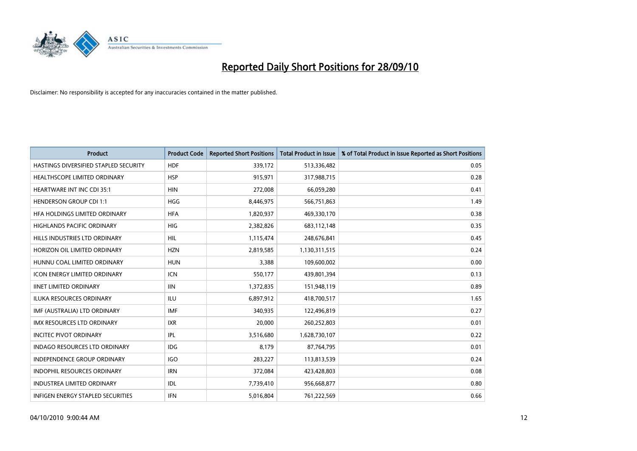

| <b>Product</b>                        | <b>Product Code</b> | <b>Reported Short Positions</b> | Total Product in Issue | % of Total Product in Issue Reported as Short Positions |
|---------------------------------------|---------------------|---------------------------------|------------------------|---------------------------------------------------------|
| HASTINGS DIVERSIFIED STAPLED SECURITY | <b>HDF</b>          | 339,172                         | 513,336,482            | 0.05                                                    |
| HEALTHSCOPE LIMITED ORDINARY          | <b>HSP</b>          | 915,971                         | 317,988,715            | 0.28                                                    |
| <b>HEARTWARE INT INC CDI 35:1</b>     | <b>HIN</b>          | 272,008                         | 66,059,280             | 0.41                                                    |
| <b>HENDERSON GROUP CDI 1:1</b>        | <b>HGG</b>          | 8,446,975                       | 566,751,863            | 1.49                                                    |
| HFA HOLDINGS LIMITED ORDINARY         | <b>HFA</b>          | 1,820,937                       | 469,330,170            | 0.38                                                    |
| <b>HIGHLANDS PACIFIC ORDINARY</b>     | <b>HIG</b>          | 2,382,826                       | 683,112,148            | 0.35                                                    |
| HILLS INDUSTRIES LTD ORDINARY         | HIL.                | 1,115,474                       | 248,676,841            | 0.45                                                    |
| HORIZON OIL LIMITED ORDINARY          | <b>HZN</b>          | 2,819,585                       | 1,130,311,515          | 0.24                                                    |
| HUNNU COAL LIMITED ORDINARY           | <b>HUN</b>          | 3,388                           | 109,600,002            | 0.00                                                    |
| <b>ICON ENERGY LIMITED ORDINARY</b>   | <b>ICN</b>          | 550,177                         | 439,801,394            | 0.13                                                    |
| <b>IINET LIMITED ORDINARY</b>         | <b>IIN</b>          | 1,372,835                       | 151,948,119            | 0.89                                                    |
| <b>ILUKA RESOURCES ORDINARY</b>       | <b>ILU</b>          | 6,897,912                       | 418,700,517            | 1.65                                                    |
| IMF (AUSTRALIA) LTD ORDINARY          | <b>IMF</b>          | 340,935                         | 122,496,819            | 0.27                                                    |
| <b>IMX RESOURCES LTD ORDINARY</b>     | <b>IXR</b>          | 20,000                          | 260,252,803            | 0.01                                                    |
| <b>INCITEC PIVOT ORDINARY</b>         | IPL                 | 3,516,680                       | 1,628,730,107          | 0.22                                                    |
| INDAGO RESOURCES LTD ORDINARY         | <b>IDG</b>          | 8,179                           | 87,764,795             | 0.01                                                    |
| INDEPENDENCE GROUP ORDINARY           | <b>IGO</b>          | 283,227                         | 113,813,539            | 0.24                                                    |
| INDOPHIL RESOURCES ORDINARY           | <b>IRN</b>          | 372,084                         | 423,428,803            | 0.08                                                    |
| <b>INDUSTREA LIMITED ORDINARY</b>     | <b>IDL</b>          | 7,739,410                       | 956,668,877            | 0.80                                                    |
| INFIGEN ENERGY STAPLED SECURITIES     | <b>IFN</b>          | 5,016,804                       | 761,222,569            | 0.66                                                    |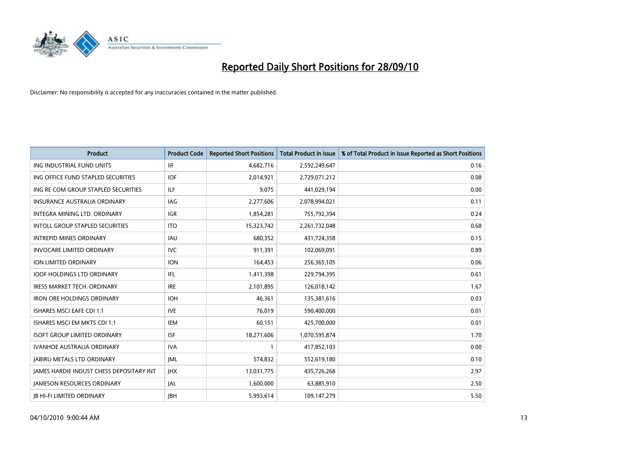

| <b>Product</b>                           | <b>Product Code</b> | <b>Reported Short Positions</b> | <b>Total Product in Issue</b> | % of Total Product in Issue Reported as Short Positions |
|------------------------------------------|---------------------|---------------------------------|-------------------------------|---------------------------------------------------------|
| ING INDUSTRIAL FUND UNITS                | <b>IIF</b>          | 4,682,716                       | 2,592,249,647                 | 0.16                                                    |
| ING OFFICE FUND STAPLED SECURITIES       | <b>IOF</b>          | 2,014,921                       | 2,729,071,212                 | 0.08                                                    |
| ING RE COM GROUP STAPLED SECURITIES      | ILF.                | 9,075                           | 441,029,194                   | 0.00                                                    |
| INSURANCE AUSTRALIA ORDINARY             | <b>IAG</b>          | 2,277,606                       | 2,078,994,021                 | 0.11                                                    |
| <b>INTEGRA MINING LTD, ORDINARY</b>      | <b>IGR</b>          | 1,854,281                       | 755,792,394                   | 0.24                                                    |
| INTOLL GROUP STAPLED SECURITIES          | <b>ITO</b>          | 15,323,742                      | 2,261,732,048                 | 0.68                                                    |
| <b>INTREPID MINES ORDINARY</b>           | <b>IAU</b>          | 680,352                         | 431,724,358                   | 0.15                                                    |
| <b>INVOCARE LIMITED ORDINARY</b>         | <b>IVC</b>          | 911,391                         | 102,069,091                   | 0.89                                                    |
| ION LIMITED ORDINARY                     | <b>ION</b>          | 164,453                         | 256,365,105                   | 0.06                                                    |
| <b>IOOF HOLDINGS LTD ORDINARY</b>        | IFL.                | 1,411,398                       | 229,794,395                   | 0.61                                                    |
| IRESS MARKET TECH. ORDINARY              | <b>IRE</b>          | 2,101,895                       | 126,018,142                   | 1.67                                                    |
| <b>IRON ORE HOLDINGS ORDINARY</b>        | <b>IOH</b>          | 46,361                          | 135,381,616                   | 0.03                                                    |
| <b>ISHARES MSCI EAFE CDI 1:1</b>         | <b>IVE</b>          | 76,019                          | 590,400,000                   | 0.01                                                    |
| ISHARES MSCI EM MKTS CDI 1:1             | <b>IEM</b>          | 60,151                          | 425,700,000                   | 0.01                                                    |
| <b>ISOFT GROUP LIMITED ORDINARY</b>      | <b>ISF</b>          | 18,271,606                      | 1,070,595,874                 | 1.70                                                    |
| IVANHOE AUSTRALIA ORDINARY               | <b>IVA</b>          |                                 | 417,852,103                   | 0.00                                                    |
| <b>JABIRU METALS LTD ORDINARY</b>        | <b>JML</b>          | 574,832                         | 552,619,180                   | 0.10                                                    |
| JAMES HARDIE INDUST CHESS DEPOSITARY INT | JHX                 | 13,031,775                      | 435,726,268                   | 2.97                                                    |
| <b>IAMESON RESOURCES ORDINARY</b>        | <b>JAL</b>          | 1,600,000                       | 63,885,910                    | 2.50                                                    |
| <b>IB HI-FI LIMITED ORDINARY</b>         | <b>IBH</b>          | 5.993.614                       | 109,147,279                   | 5.50                                                    |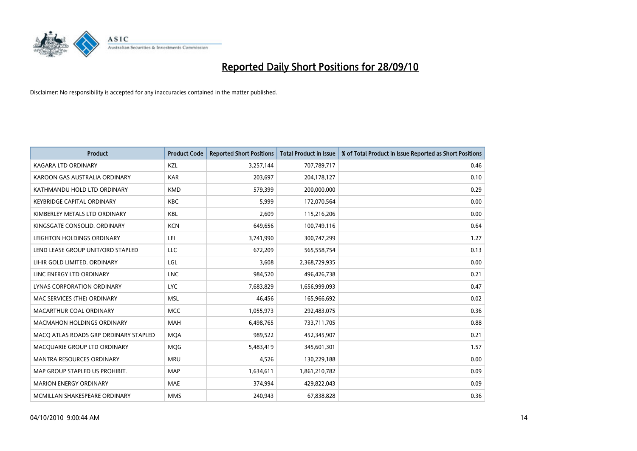

| <b>Product</b>                        | <b>Product Code</b> | <b>Reported Short Positions</b> | Total Product in Issue | % of Total Product in Issue Reported as Short Positions |
|---------------------------------------|---------------------|---------------------------------|------------------------|---------------------------------------------------------|
| <b>KAGARA LTD ORDINARY</b>            | KZL                 | 3,257,144                       | 707,789,717            | 0.46                                                    |
| KAROON GAS AUSTRALIA ORDINARY         | <b>KAR</b>          | 203,697                         | 204,178,127            | 0.10                                                    |
| KATHMANDU HOLD LTD ORDINARY           | <b>KMD</b>          | 579,399                         | 200,000,000            | 0.29                                                    |
| <b>KEYBRIDGE CAPITAL ORDINARY</b>     | <b>KBC</b>          | 5,999                           | 172,070,564            | 0.00                                                    |
| KIMBERLEY METALS LTD ORDINARY         | <b>KBL</b>          | 2,609                           | 115,216,206            | 0.00                                                    |
| KINGSGATE CONSOLID, ORDINARY          | <b>KCN</b>          | 649,656                         | 100,749,116            | 0.64                                                    |
| LEIGHTON HOLDINGS ORDINARY            | LEI                 | 3,741,990                       | 300,747,299            | 1.27                                                    |
| LEND LEASE GROUP UNIT/ORD STAPLED     | LLC                 | 672,209                         | 565,558,754            | 0.13                                                    |
| LIHIR GOLD LIMITED. ORDINARY          | LGL                 | 3,608                           | 2,368,729,935          | 0.00                                                    |
| LINC ENERGY LTD ORDINARY              | <b>LNC</b>          | 984,520                         | 496,426,738            | 0.21                                                    |
| LYNAS CORPORATION ORDINARY            | <b>LYC</b>          | 7,683,829                       | 1,656,999,093          | 0.47                                                    |
| MAC SERVICES (THE) ORDINARY           | <b>MSL</b>          | 46,456                          | 165,966,692            | 0.02                                                    |
| MACARTHUR COAL ORDINARY               | <b>MCC</b>          | 1,055,973                       | 292,483,075            | 0.36                                                    |
| <b>MACMAHON HOLDINGS ORDINARY</b>     | MAH                 | 6,498,765                       | 733,711,705            | 0.88                                                    |
| MACO ATLAS ROADS GRP ORDINARY STAPLED | <b>MOA</b>          | 989,522                         | 452,345,907            | 0.21                                                    |
| MACQUARIE GROUP LTD ORDINARY          | <b>MOG</b>          | 5,483,419                       | 345,601,301            | 1.57                                                    |
| MANTRA RESOURCES ORDINARY             | <b>MRU</b>          | 4,526                           | 130,229,188            | 0.00                                                    |
| MAP GROUP STAPLED US PROHIBIT.        | <b>MAP</b>          | 1,634,611                       | 1,861,210,782          | 0.09                                                    |
| <b>MARION ENERGY ORDINARY</b>         | <b>MAE</b>          | 374,994                         | 429,822,043            | 0.09                                                    |
| MCMILLAN SHAKESPEARE ORDINARY         | <b>MMS</b>          | 240,943                         | 67,838,828             | 0.36                                                    |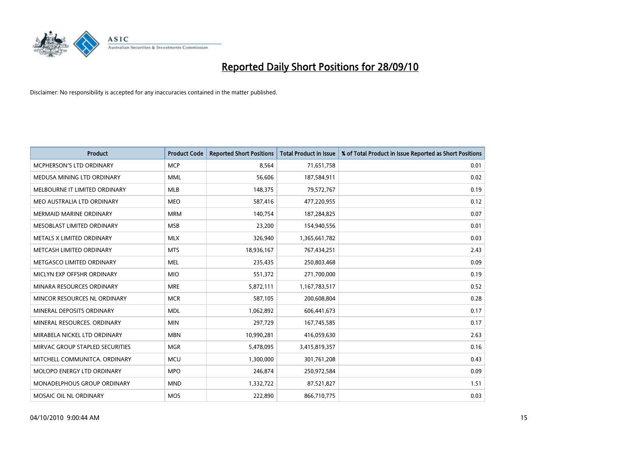

| <b>Product</b>                     | <b>Product Code</b> | <b>Reported Short Positions</b> | <b>Total Product in Issue</b> | % of Total Product in Issue Reported as Short Positions |
|------------------------------------|---------------------|---------------------------------|-------------------------------|---------------------------------------------------------|
| <b>MCPHERSON'S LTD ORDINARY</b>    | <b>MCP</b>          | 8.564                           | 71,651,758                    | 0.01                                                    |
| MEDUSA MINING LTD ORDINARY         | <b>MML</b>          | 56,606                          | 187,584,911                   | 0.02                                                    |
| MELBOURNE IT LIMITED ORDINARY      | <b>MLB</b>          | 148,375                         | 79,572,767                    | 0.19                                                    |
| MEO AUSTRALIA LTD ORDINARY         | <b>MEO</b>          | 587,416                         | 477,220,955                   | 0.12                                                    |
| <b>MERMAID MARINE ORDINARY</b>     | <b>MRM</b>          | 140,754                         | 187,284,825                   | 0.07                                                    |
| MESOBLAST LIMITED ORDINARY         | <b>MSB</b>          | 23,200                          | 154,940,556                   | 0.01                                                    |
| <b>METALS X LIMITED ORDINARY</b>   | <b>MLX</b>          | 326,940                         | 1,365,661,782                 | 0.03                                                    |
| METCASH LIMITED ORDINARY           | <b>MTS</b>          | 18,936,167                      | 767,434,251                   | 2.43                                                    |
| METGASCO LIMITED ORDINARY          | <b>MEL</b>          | 235,435                         | 250,803,468                   | 0.09                                                    |
| MICLYN EXP OFFSHR ORDINARY         | <b>MIO</b>          | 551,372                         | 271,700,000                   | 0.19                                                    |
| MINARA RESOURCES ORDINARY          | <b>MRE</b>          | 5,872,111                       | 1,167,783,517                 | 0.52                                                    |
| MINCOR RESOURCES NL ORDINARY       | <b>MCR</b>          | 587,105                         | 200,608,804                   | 0.28                                                    |
| MINERAL DEPOSITS ORDINARY          | <b>MDL</b>          | 1,062,892                       | 606,441,673                   | 0.17                                                    |
| MINERAL RESOURCES. ORDINARY        | <b>MIN</b>          | 297,729                         | 167,745,585                   | 0.17                                                    |
| MIRABELA NICKEL LTD ORDINARY       | <b>MBN</b>          | 10,990,281                      | 416,059,630                   | 2.63                                                    |
| MIRVAC GROUP STAPLED SECURITIES    | <b>MGR</b>          | 5,478,095                       | 3,415,819,357                 | 0.16                                                    |
| MITCHELL COMMUNITCA. ORDINARY      | <b>MCU</b>          | 1,300,000                       | 301,761,208                   | 0.43                                                    |
| MOLOPO ENERGY LTD ORDINARY         | <b>MPO</b>          | 246,874                         | 250,972,584                   | 0.09                                                    |
| <b>MONADELPHOUS GROUP ORDINARY</b> | <b>MND</b>          | 1,332,722                       | 87,521,827                    | 1.51                                                    |
| MOSAIC OIL NL ORDINARY             | <b>MOS</b>          | 222,890                         | 866,710,775                   | 0.03                                                    |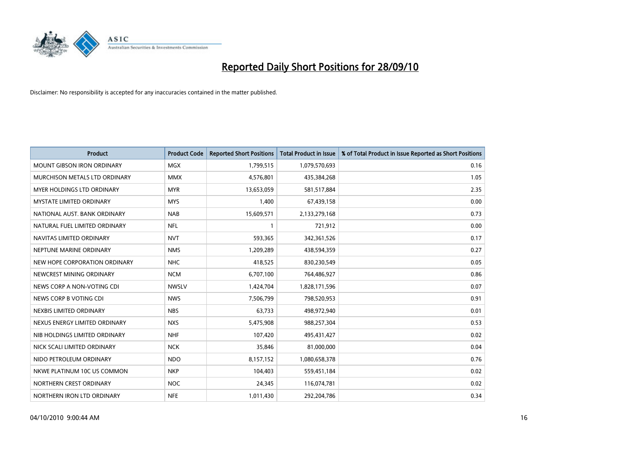

| <b>Product</b>                    | <b>Product Code</b> | <b>Reported Short Positions</b> | <b>Total Product in Issue</b> | % of Total Product in Issue Reported as Short Positions |
|-----------------------------------|---------------------|---------------------------------|-------------------------------|---------------------------------------------------------|
| <b>MOUNT GIBSON IRON ORDINARY</b> | <b>MGX</b>          | 1,799,515                       | 1,079,570,693                 | 0.16                                                    |
| MURCHISON METALS LTD ORDINARY     | <b>MMX</b>          | 4,576,801                       | 435,384,268                   | 1.05                                                    |
| MYER HOLDINGS LTD ORDINARY        | <b>MYR</b>          | 13,653,059                      | 581,517,884                   | 2.35                                                    |
| <b>MYSTATE LIMITED ORDINARY</b>   | <b>MYS</b>          | 1,400                           | 67,439,158                    | 0.00                                                    |
| NATIONAL AUST. BANK ORDINARY      | <b>NAB</b>          | 15,609,571                      | 2,133,279,168                 | 0.73                                                    |
| NATURAL FUEL LIMITED ORDINARY     | <b>NFL</b>          |                                 | 721,912                       | 0.00                                                    |
| NAVITAS LIMITED ORDINARY          | <b>NVT</b>          | 593,365                         | 342,361,526                   | 0.17                                                    |
| NEPTUNE MARINE ORDINARY           | <b>NMS</b>          | 1,209,289                       | 438,594,359                   | 0.27                                                    |
| NEW HOPE CORPORATION ORDINARY     | <b>NHC</b>          | 418,525                         | 830,230,549                   | 0.05                                                    |
| NEWCREST MINING ORDINARY          | <b>NCM</b>          | 6,707,100                       | 764,486,927                   | 0.86                                                    |
| NEWS CORP A NON-VOTING CDI        | <b>NWSLV</b>        | 1,424,704                       | 1,828,171,596                 | 0.07                                                    |
| NEWS CORP B VOTING CDI            | <b>NWS</b>          | 7,506,799                       | 798,520,953                   | 0.91                                                    |
| NEXBIS LIMITED ORDINARY           | <b>NBS</b>          | 63,733                          | 498,972,940                   | 0.01                                                    |
| NEXUS ENERGY LIMITED ORDINARY     | <b>NXS</b>          | 5,475,908                       | 988,257,304                   | 0.53                                                    |
| NIB HOLDINGS LIMITED ORDINARY     | <b>NHF</b>          | 107,420                         | 495,431,427                   | 0.02                                                    |
| NICK SCALI LIMITED ORDINARY       | <b>NCK</b>          | 35,846                          | 81,000,000                    | 0.04                                                    |
| NIDO PETROLEUM ORDINARY           | <b>NDO</b>          | 8,157,152                       | 1,080,658,378                 | 0.76                                                    |
| NKWE PLATINUM 10C US COMMON       | <b>NKP</b>          | 104,403                         | 559,451,184                   | 0.02                                                    |
| NORTHERN CREST ORDINARY           | <b>NOC</b>          | 24,345                          | 116,074,781                   | 0.02                                                    |
| NORTHERN IRON LTD ORDINARY        | <b>NFE</b>          | 1,011,430                       | 292,204,786                   | 0.34                                                    |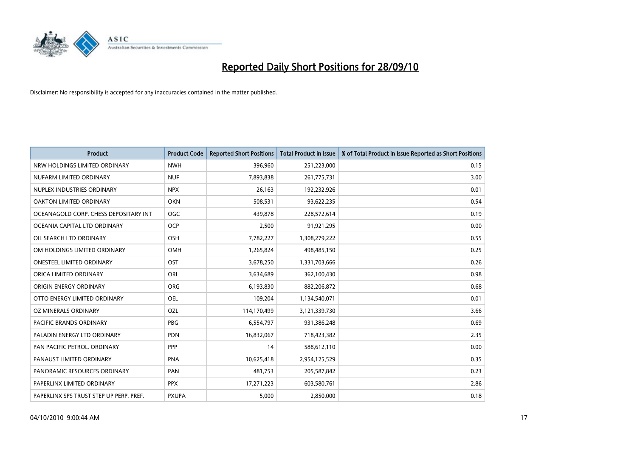

| <b>Product</b>                          | <b>Product Code</b> | <b>Reported Short Positions</b> | <b>Total Product in Issue</b> | % of Total Product in Issue Reported as Short Positions |
|-----------------------------------------|---------------------|---------------------------------|-------------------------------|---------------------------------------------------------|
| NRW HOLDINGS LIMITED ORDINARY           | <b>NWH</b>          | 396,960                         | 251,223,000                   | 0.15                                                    |
| NUFARM LIMITED ORDINARY                 | <b>NUF</b>          | 7,893,838                       | 261,775,731                   | 3.00                                                    |
| NUPLEX INDUSTRIES ORDINARY              | <b>NPX</b>          | 26.163                          | 192,232,926                   | 0.01                                                    |
| OAKTON LIMITED ORDINARY                 | <b>OKN</b>          | 508,531                         | 93,622,235                    | 0.54                                                    |
| OCEANAGOLD CORP. CHESS DEPOSITARY INT   | <b>OGC</b>          | 439.878                         | 228,572,614                   | 0.19                                                    |
| OCEANIA CAPITAL LTD ORDINARY            | <b>OCP</b>          | 2,500                           | 91,921,295                    | 0.00                                                    |
| OIL SEARCH LTD ORDINARY                 | <b>OSH</b>          | 7,782,227                       | 1,308,279,222                 | 0.55                                                    |
| OM HOLDINGS LIMITED ORDINARY            | <b>OMH</b>          | 1,265,824                       | 498,485,150                   | 0.25                                                    |
| ONESTEEL LIMITED ORDINARY               | OST                 | 3,678,250                       | 1,331,703,666                 | 0.26                                                    |
| ORICA LIMITED ORDINARY                  | ORI                 | 3,634,689                       | 362,100,430                   | 0.98                                                    |
| ORIGIN ENERGY ORDINARY                  | <b>ORG</b>          | 6,193,830                       | 882,206,872                   | 0.68                                                    |
| OTTO ENERGY LIMITED ORDINARY            | <b>OEL</b>          | 109,204                         | 1,134,540,071                 | 0.01                                                    |
| OZ MINERALS ORDINARY                    | OZL                 | 114,170,499                     | 3,121,339,730                 | 3.66                                                    |
| <b>PACIFIC BRANDS ORDINARY</b>          | <b>PBG</b>          | 6,554,797                       | 931,386,248                   | 0.69                                                    |
| PALADIN ENERGY LTD ORDINARY             | <b>PDN</b>          | 16,832,067                      | 718,423,382                   | 2.35                                                    |
| PAN PACIFIC PETROL. ORDINARY            | <b>PPP</b>          | 14                              | 588,612,110                   | 0.00                                                    |
| PANAUST LIMITED ORDINARY                | <b>PNA</b>          | 10,625,418                      | 2,954,125,529                 | 0.35                                                    |
| PANORAMIC RESOURCES ORDINARY            | PAN                 | 481,753                         | 205,587,842                   | 0.23                                                    |
| PAPERLINX LIMITED ORDINARY              | <b>PPX</b>          | 17,271,223                      | 603,580,761                   | 2.86                                                    |
| PAPERLINX SPS TRUST STEP UP PERP. PREF. | <b>PXUPA</b>        | 5.000                           | 2,850,000                     | 0.18                                                    |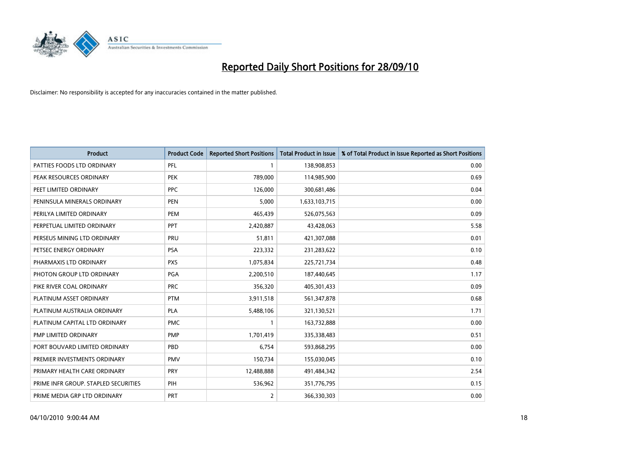

| <b>Product</b>                       | <b>Product Code</b> | <b>Reported Short Positions</b> | <b>Total Product in Issue</b> | % of Total Product in Issue Reported as Short Positions |
|--------------------------------------|---------------------|---------------------------------|-------------------------------|---------------------------------------------------------|
| PATTIES FOODS LTD ORDINARY           | PFL                 |                                 | 138,908,853                   | 0.00                                                    |
| PEAK RESOURCES ORDINARY              | <b>PEK</b>          | 789,000                         | 114,985,900                   | 0.69                                                    |
| PEET LIMITED ORDINARY                | <b>PPC</b>          | 126,000                         | 300,681,486                   | 0.04                                                    |
| PENINSULA MINERALS ORDINARY          | <b>PEN</b>          | 5,000                           | 1,633,103,715                 | 0.00                                                    |
| PERILYA LIMITED ORDINARY             | PEM                 | 465,439                         | 526,075,563                   | 0.09                                                    |
| PERPETUAL LIMITED ORDINARY           | PPT                 | 2,420,887                       | 43,428,063                    | 5.58                                                    |
| PERSEUS MINING LTD ORDINARY          | PRU                 | 51,811                          | 421,307,088                   | 0.01                                                    |
| PETSEC ENERGY ORDINARY               | <b>PSA</b>          | 223,332                         | 231,283,622                   | 0.10                                                    |
| PHARMAXIS LTD ORDINARY               | <b>PXS</b>          | 1,075,834                       | 225,721,734                   | 0.48                                                    |
| PHOTON GROUP LTD ORDINARY            | <b>PGA</b>          | 2,200,510                       | 187,440,645                   | 1.17                                                    |
| PIKE RIVER COAL ORDINARY             | <b>PRC</b>          | 356,320                         | 405,301,433                   | 0.09                                                    |
| PLATINUM ASSET ORDINARY              | <b>PTM</b>          | 3,911,518                       | 561,347,878                   | 0.68                                                    |
| PLATINUM AUSTRALIA ORDINARY          | <b>PLA</b>          | 5,488,106                       | 321,130,521                   | 1.71                                                    |
| PLATINUM CAPITAL LTD ORDINARY        | <b>PMC</b>          |                                 | 163,732,888                   | 0.00                                                    |
| PMP LIMITED ORDINARY                 | <b>PMP</b>          | 1,701,419                       | 335,338,483                   | 0.51                                                    |
| PORT BOUVARD LIMITED ORDINARY        | PBD                 | 6,754                           | 593,868,295                   | 0.00                                                    |
| PREMIER INVESTMENTS ORDINARY         | <b>PMV</b>          | 150,734                         | 155,030,045                   | 0.10                                                    |
| PRIMARY HEALTH CARE ORDINARY         | <b>PRY</b>          | 12,488,888                      | 491,484,342                   | 2.54                                                    |
| PRIME INFR GROUP. STAPLED SECURITIES | PIH                 | 536,962                         | 351,776,795                   | 0.15                                                    |
| PRIME MEDIA GRP LTD ORDINARY         | <b>PRT</b>          | 2                               | 366,330,303                   | 0.00                                                    |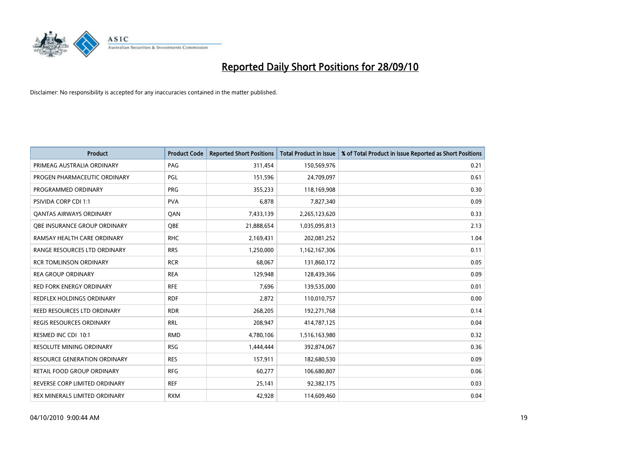

| <b>Product</b>                  | <b>Product Code</b> | <b>Reported Short Positions</b> | Total Product in Issue | % of Total Product in Issue Reported as Short Positions |
|---------------------------------|---------------------|---------------------------------|------------------------|---------------------------------------------------------|
| PRIMEAG AUSTRALIA ORDINARY      | PAG                 | 311,454                         | 150,569,976            | 0.21                                                    |
| PROGEN PHARMACEUTIC ORDINARY    | PGL                 | 151,596                         | 24,709,097             | 0.61                                                    |
| PROGRAMMED ORDINARY             | <b>PRG</b>          | 355,233                         | 118,169,908            | 0.30                                                    |
| PSIVIDA CORP CDI 1:1            | <b>PVA</b>          | 6,878                           | 7,827,340              | 0.09                                                    |
| <b>QANTAS AIRWAYS ORDINARY</b>  | QAN                 | 7,433,139                       | 2,265,123,620          | 0.33                                                    |
| OBE INSURANCE GROUP ORDINARY    | <b>OBE</b>          | 21,888,654                      | 1,035,095,813          | 2.13                                                    |
| RAMSAY HEALTH CARE ORDINARY     | <b>RHC</b>          | 2,169,431                       | 202,081,252            | 1.04                                                    |
| RANGE RESOURCES LTD ORDINARY    | <b>RRS</b>          | 1,250,000                       | 1,162,167,306          | 0.11                                                    |
| <b>RCR TOMLINSON ORDINARY</b>   | <b>RCR</b>          | 68,067                          | 131,860,172            | 0.05                                                    |
| <b>REA GROUP ORDINARY</b>       | <b>REA</b>          | 129,948                         | 128,439,366            | 0.09                                                    |
| <b>RED FORK ENERGY ORDINARY</b> | <b>RFE</b>          | 7,696                           | 139,535,000            | 0.01                                                    |
| REDFLEX HOLDINGS ORDINARY       | <b>RDF</b>          | 2,872                           | 110,010,757            | 0.00                                                    |
| REED RESOURCES LTD ORDINARY     | <b>RDR</b>          | 268,205                         | 192,271,768            | 0.14                                                    |
| <b>REGIS RESOURCES ORDINARY</b> | <b>RRL</b>          | 208,947                         | 414,787,125            | 0.04                                                    |
| RESMED INC CDI 10:1             | <b>RMD</b>          | 4,780,106                       | 1,516,163,980          | 0.32                                                    |
| <b>RESOLUTE MINING ORDINARY</b> | <b>RSG</b>          | 1,444,444                       | 392,874,067            | 0.36                                                    |
| RESOURCE GENERATION ORDINARY    | <b>RES</b>          | 157,911                         | 182,680,530            | 0.09                                                    |
| RETAIL FOOD GROUP ORDINARY      | <b>RFG</b>          | 60,277                          | 106,680,807            | 0.06                                                    |
| REVERSE CORP LIMITED ORDINARY   | <b>REF</b>          | 25,141                          | 92,382,175             | 0.03                                                    |
| REX MINERALS LIMITED ORDINARY   | <b>RXM</b>          | 42,928                          | 114,609,460            | 0.04                                                    |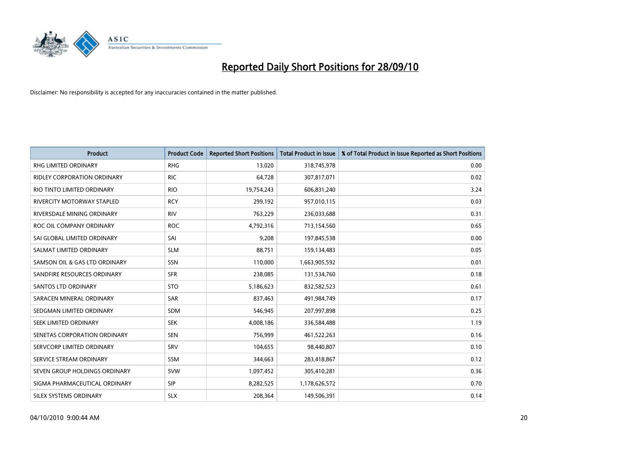

| <b>Product</b>                | <b>Product Code</b> | <b>Reported Short Positions</b> | Total Product in Issue | % of Total Product in Issue Reported as Short Positions |
|-------------------------------|---------------------|---------------------------------|------------------------|---------------------------------------------------------|
| <b>RHG LIMITED ORDINARY</b>   | <b>RHG</b>          | 13,020                          | 318,745,978            | 0.00                                                    |
| RIDLEY CORPORATION ORDINARY   | <b>RIC</b>          | 64,728                          | 307,817,071            | 0.02                                                    |
| RIO TINTO LIMITED ORDINARY    | <b>RIO</b>          | 19,754,243                      | 606,831,240            | 3.24                                                    |
| RIVERCITY MOTORWAY STAPLED    | <b>RCY</b>          | 299,192                         | 957,010,115            | 0.03                                                    |
| RIVERSDALE MINING ORDINARY    | <b>RIV</b>          | 763,229                         | 236,033,688            | 0.31                                                    |
| ROC OIL COMPANY ORDINARY      | <b>ROC</b>          | 4,792,316                       | 713,154,560            | 0.65                                                    |
| SAI GLOBAL LIMITED ORDINARY   | SAI                 | 9,208                           | 197,845,538            | 0.00                                                    |
| SALMAT LIMITED ORDINARY       | <b>SLM</b>          | 88,751                          | 159,134,483            | 0.05                                                    |
| SAMSON OIL & GAS LTD ORDINARY | SSN                 | 110,000                         | 1,663,905,592          | 0.01                                                    |
| SANDFIRE RESOURCES ORDINARY   | <b>SFR</b>          | 238,085                         | 131,534,760            | 0.18                                                    |
| <b>SANTOS LTD ORDINARY</b>    | <b>STO</b>          | 5,186,623                       | 832,582,523            | 0.61                                                    |
| SARACEN MINERAL ORDINARY      | <b>SAR</b>          | 837,463                         | 491,984,749            | 0.17                                                    |
| SEDGMAN LIMITED ORDINARY      | <b>SDM</b>          | 546,945                         | 207,997,898            | 0.25                                                    |
| SEEK LIMITED ORDINARY         | <b>SEK</b>          | 4,008,186                       | 336,584,488            | 1.19                                                    |
| SENETAS CORPORATION ORDINARY  | <b>SEN</b>          | 756,999                         | 461,522,263            | 0.16                                                    |
| SERVCORP LIMITED ORDINARY     | SRV                 | 104,655                         | 98,440,807             | 0.10                                                    |
| SERVICE STREAM ORDINARY       | <b>SSM</b>          | 344,663                         | 283,418,867            | 0.12                                                    |
| SEVEN GROUP HOLDINGS ORDINARY | <b>SVW</b>          | 1,097,452                       | 305,410,281            | 0.36                                                    |
| SIGMA PHARMACEUTICAL ORDINARY | <b>SIP</b>          | 8,282,525                       | 1,178,626,572          | 0.70                                                    |
| SILEX SYSTEMS ORDINARY        | <b>SLX</b>          | 208,364                         | 149,506,391            | 0.14                                                    |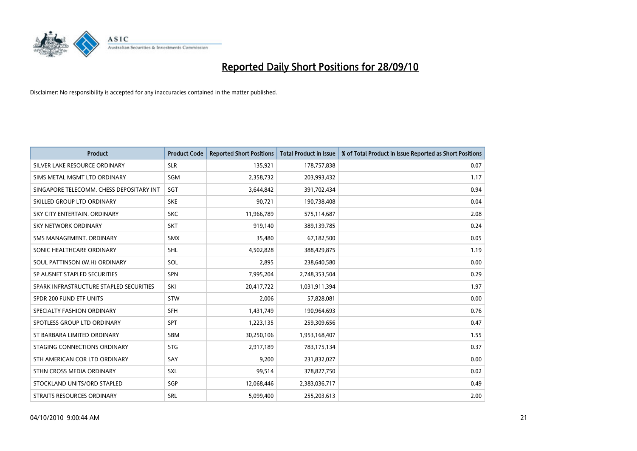

| <b>Product</b>                           | <b>Product Code</b> | <b>Reported Short Positions</b> | <b>Total Product in Issue</b> | % of Total Product in Issue Reported as Short Positions |
|------------------------------------------|---------------------|---------------------------------|-------------------------------|---------------------------------------------------------|
| SILVER LAKE RESOURCE ORDINARY            | <b>SLR</b>          | 135,921                         | 178,757,838                   | 0.07                                                    |
| SIMS METAL MGMT LTD ORDINARY             | SGM                 | 2,358,732                       | 203,993,432                   | 1.17                                                    |
| SINGAPORE TELECOMM. CHESS DEPOSITARY INT | SGT                 | 3,644,842                       | 391,702,434                   | 0.94                                                    |
| SKILLED GROUP LTD ORDINARY               | <b>SKE</b>          | 90,721                          | 190,738,408                   | 0.04                                                    |
| SKY CITY ENTERTAIN, ORDINARY             | <b>SKC</b>          | 11,966,789                      | 575,114,687                   | 2.08                                                    |
| <b>SKY NETWORK ORDINARY</b>              | <b>SKT</b>          | 919,140                         | 389,139,785                   | 0.24                                                    |
| SMS MANAGEMENT, ORDINARY                 | <b>SMX</b>          | 35,480                          | 67,182,500                    | 0.05                                                    |
| SONIC HEALTHCARE ORDINARY                | <b>SHL</b>          | 4,502,828                       | 388,429,875                   | 1.19                                                    |
| SOUL PATTINSON (W.H) ORDINARY            | SOL                 | 2,895                           | 238,640,580                   | 0.00                                                    |
| SP AUSNET STAPLED SECURITIES             | <b>SPN</b>          | 7,995,204                       | 2,748,353,504                 | 0.29                                                    |
| SPARK INFRASTRUCTURE STAPLED SECURITIES  | SKI                 | 20,417,722                      | 1,031,911,394                 | 1.97                                                    |
| SPDR 200 FUND ETF UNITS                  | <b>STW</b>          | 2,006                           | 57,828,081                    | 0.00                                                    |
| SPECIALTY FASHION ORDINARY               | SFH                 | 1,431,749                       | 190,964,693                   | 0.76                                                    |
| SPOTLESS GROUP LTD ORDINARY              | SPT                 | 1,223,135                       | 259,309,656                   | 0.47                                                    |
| ST BARBARA LIMITED ORDINARY              | <b>SBM</b>          | 30,250,106                      | 1,953,168,407                 | 1.55                                                    |
| STAGING CONNECTIONS ORDINARY             | <b>STG</b>          | 2,917,189                       | 783,175,134                   | 0.37                                                    |
| STH AMERICAN COR LTD ORDINARY            | SAY                 | 9,200                           | 231,832,027                   | 0.00                                                    |
| STHN CROSS MEDIA ORDINARY                | SXL                 | 99,514                          | 378,827,750                   | 0.02                                                    |
| STOCKLAND UNITS/ORD STAPLED              | SGP                 | 12,068,446                      | 2,383,036,717                 | 0.49                                                    |
| STRAITS RESOURCES ORDINARY               | SRL                 | 5,099,400                       | 255,203,613                   | 2.00                                                    |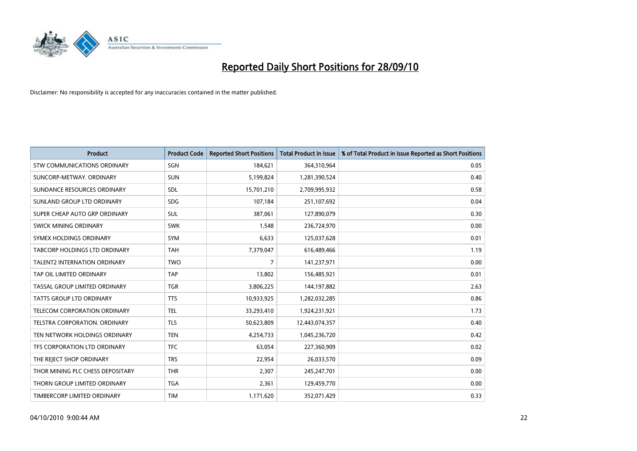

| <b>Product</b>                   | <b>Product Code</b> | <b>Reported Short Positions</b> | <b>Total Product in Issue</b> | % of Total Product in Issue Reported as Short Positions |
|----------------------------------|---------------------|---------------------------------|-------------------------------|---------------------------------------------------------|
| STW COMMUNICATIONS ORDINARY      | SGN                 | 184,621                         | 364,310,964                   | 0.05                                                    |
| SUNCORP-METWAY, ORDINARY         | <b>SUN</b>          | 5,199,824                       | 1,281,390,524                 | 0.40                                                    |
| SUNDANCE RESOURCES ORDINARY      | <b>SDL</b>          | 15,701,210                      | 2,709,995,932                 | 0.58                                                    |
| SUNLAND GROUP LTD ORDINARY       | <b>SDG</b>          | 107,184                         | 251,107,692                   | 0.04                                                    |
| SUPER CHEAP AUTO GRP ORDINARY    | <b>SUL</b>          | 387.061                         | 127,890,079                   | 0.30                                                    |
| SWICK MINING ORDINARY            | <b>SWK</b>          | 1,548                           | 236,724,970                   | 0.00                                                    |
| SYMEX HOLDINGS ORDINARY          | <b>SYM</b>          | 6.633                           | 125,037,628                   | 0.01                                                    |
| TABCORP HOLDINGS LTD ORDINARY    | <b>TAH</b>          | 7,379,047                       | 616,489,466                   | 1.19                                                    |
| TALENT2 INTERNATION ORDINARY     | <b>TWO</b>          | 7                               | 141,237,971                   | 0.00                                                    |
| TAP OIL LIMITED ORDINARY         | <b>TAP</b>          | 13,802                          | 156,485,921                   | 0.01                                                    |
| TASSAL GROUP LIMITED ORDINARY    | <b>TGR</b>          | 3,806,225                       | 144,197,882                   | 2.63                                                    |
| <b>TATTS GROUP LTD ORDINARY</b>  | <b>TTS</b>          | 10,933,925                      | 1,282,032,285                 | 0.86                                                    |
| TELECOM CORPORATION ORDINARY     | <b>TEL</b>          | 33,293,410                      | 1,924,231,921                 | 1.73                                                    |
| TELSTRA CORPORATION, ORDINARY    | <b>TLS</b>          | 50,623,809                      | 12,443,074,357                | 0.40                                                    |
| TEN NETWORK HOLDINGS ORDINARY    | <b>TEN</b>          | 4,254,733                       | 1,045,236,720                 | 0.42                                                    |
| TFS CORPORATION LTD ORDINARY     | <b>TFC</b>          | 63.054                          | 227,360,909                   | 0.02                                                    |
| THE REJECT SHOP ORDINARY         | <b>TRS</b>          | 22,954                          | 26,033,570                    | 0.09                                                    |
| THOR MINING PLC CHESS DEPOSITARY | <b>THR</b>          | 2,307                           | 245,247,701                   | 0.00                                                    |
| THORN GROUP LIMITED ORDINARY     | <b>TGA</b>          | 2,361                           | 129,459,770                   | 0.00                                                    |
| TIMBERCORP LIMITED ORDINARY      | <b>TIM</b>          | 1,171,620                       | 352,071,429                   | 0.33                                                    |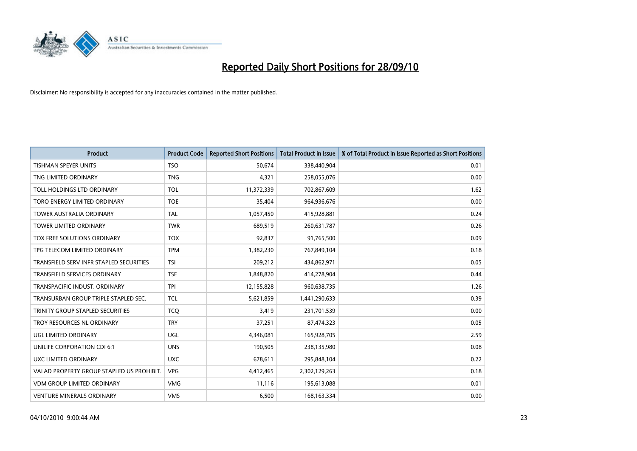

| <b>Product</b>                            | <b>Product Code</b> | <b>Reported Short Positions</b> | <b>Total Product in Issue</b> | % of Total Product in Issue Reported as Short Positions |
|-------------------------------------------|---------------------|---------------------------------|-------------------------------|---------------------------------------------------------|
| <b>TISHMAN SPEYER UNITS</b>               | <b>TSO</b>          | 50,674                          | 338,440,904                   | 0.01                                                    |
| TNG LIMITED ORDINARY                      | <b>TNG</b>          | 4,321                           | 258,055,076                   | 0.00                                                    |
| TOLL HOLDINGS LTD ORDINARY                | <b>TOL</b>          | 11,372,339                      | 702,867,609                   | 1.62                                                    |
| TORO ENERGY LIMITED ORDINARY              | <b>TOE</b>          | 35,404                          | 964,936,676                   | 0.00                                                    |
| <b>TOWER AUSTRALIA ORDINARY</b>           | <b>TAL</b>          | 1,057,450                       | 415,928,881                   | 0.24                                                    |
| <b>TOWER LIMITED ORDINARY</b>             | <b>TWR</b>          | 689,519                         | 260,631,787                   | 0.26                                                    |
| TOX FREE SOLUTIONS ORDINARY               | <b>TOX</b>          | 92,837                          | 91,765,500                    | 0.09                                                    |
| TPG TELECOM LIMITED ORDINARY              | <b>TPM</b>          | 1,382,230                       | 767,849,104                   | 0.18                                                    |
| TRANSFIELD SERV INFR STAPLED SECURITIES   | <b>TSI</b>          | 209,212                         | 434,862,971                   | 0.05                                                    |
| <b>TRANSFIELD SERVICES ORDINARY</b>       | <b>TSE</b>          | 1,848,820                       | 414,278,904                   | 0.44                                                    |
| TRANSPACIFIC INDUST. ORDINARY             | <b>TPI</b>          | 12,155,828                      | 960,638,735                   | 1.26                                                    |
| TRANSURBAN GROUP TRIPLE STAPLED SEC.      | <b>TCL</b>          | 5,621,859                       | 1,441,290,633                 | 0.39                                                    |
| TRINITY GROUP STAPLED SECURITIES          | <b>TCO</b>          | 3,419                           | 231,701,539                   | 0.00                                                    |
| TROY RESOURCES NL ORDINARY                | <b>TRY</b>          | 37,251                          | 87,474,323                    | 0.05                                                    |
| <b>UGL LIMITED ORDINARY</b>               | UGL                 | 4,346,081                       | 165,928,705                   | 2.59                                                    |
| UNILIFE CORPORATION CDI 6:1               | <b>UNS</b>          | 190,505                         | 238,135,980                   | 0.08                                                    |
| UXC LIMITED ORDINARY                      | <b>UXC</b>          | 678,611                         | 295,848,104                   | 0.22                                                    |
| VALAD PROPERTY GROUP STAPLED US PROHIBIT. | <b>VPG</b>          | 4,412,465                       | 2,302,129,263                 | 0.18                                                    |
| <b>VDM GROUP LIMITED ORDINARY</b>         | <b>VMG</b>          | 11,116                          | 195,613,088                   | 0.01                                                    |
| <b>VENTURE MINERALS ORDINARY</b>          | <b>VMS</b>          | 6,500                           | 168, 163, 334                 | 0.00                                                    |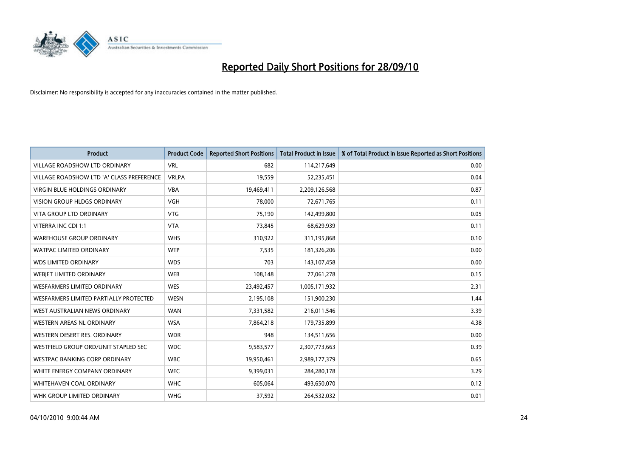

| <b>Product</b>                            | <b>Product Code</b> | <b>Reported Short Positions</b> | <b>Total Product in Issue</b> | % of Total Product in Issue Reported as Short Positions |
|-------------------------------------------|---------------------|---------------------------------|-------------------------------|---------------------------------------------------------|
| <b>VILLAGE ROADSHOW LTD ORDINARY</b>      | <b>VRL</b>          | 682                             | 114,217,649                   | 0.00                                                    |
| VILLAGE ROADSHOW LTD 'A' CLASS PREFERENCE | <b>VRLPA</b>        | 19,559                          | 52,235,451                    | 0.04                                                    |
| <b>VIRGIN BLUE HOLDINGS ORDINARY</b>      | <b>VBA</b>          | 19,469,411                      | 2,209,126,568                 | 0.87                                                    |
| <b>VISION GROUP HLDGS ORDINARY</b>        | <b>VGH</b>          | 78,000                          | 72,671,765                    | 0.11                                                    |
| <b>VITA GROUP LTD ORDINARY</b>            | <b>VTG</b>          | 75,190                          | 142,499,800                   | 0.05                                                    |
| VITERRA INC CDI 1:1                       | <b>VTA</b>          | 73,845                          | 68,629,939                    | 0.11                                                    |
| <b>WAREHOUSE GROUP ORDINARY</b>           | <b>WHS</b>          | 310,922                         | 311,195,868                   | 0.10                                                    |
| <b>WATPAC LIMITED ORDINARY</b>            | <b>WTP</b>          | 7,535                           | 181,326,206                   | 0.00                                                    |
| <b>WDS LIMITED ORDINARY</b>               | <b>WDS</b>          | 703                             | 143,107,458                   | 0.00                                                    |
| <b>WEBJET LIMITED ORDINARY</b>            | <b>WEB</b>          | 108,148                         | 77,061,278                    | 0.15                                                    |
| WESFARMERS LIMITED ORDINARY               | <b>WES</b>          | 23,492,457                      | 1,005,171,932                 | 2.31                                                    |
| WESFARMERS LIMITED PARTIALLY PROTECTED    | <b>WESN</b>         | 2,195,108                       | 151,900,230                   | 1.44                                                    |
| WEST AUSTRALIAN NEWS ORDINARY             | <b>WAN</b>          | 7,331,582                       | 216,011,546                   | 3.39                                                    |
| WESTERN AREAS NL ORDINARY                 | <b>WSA</b>          | 7,864,218                       | 179,735,899                   | 4.38                                                    |
| WESTERN DESERT RES. ORDINARY              | <b>WDR</b>          | 948                             | 134,511,656                   | 0.00                                                    |
| WESTFIELD GROUP ORD/UNIT STAPLED SEC      | <b>WDC</b>          | 9,583,577                       | 2,307,773,663                 | 0.39                                                    |
| WESTPAC BANKING CORP ORDINARY             | <b>WBC</b>          | 19,950,461                      | 2,989,177,379                 | 0.65                                                    |
| WHITE ENERGY COMPANY ORDINARY             | <b>WEC</b>          | 9,399,031                       | 284,280,178                   | 3.29                                                    |
| WHITEHAVEN COAL ORDINARY                  | <b>WHC</b>          | 605,064                         | 493,650,070                   | 0.12                                                    |
| WHK GROUP LIMITED ORDINARY                | <b>WHG</b>          | 37,592                          | 264,532,032                   | 0.01                                                    |